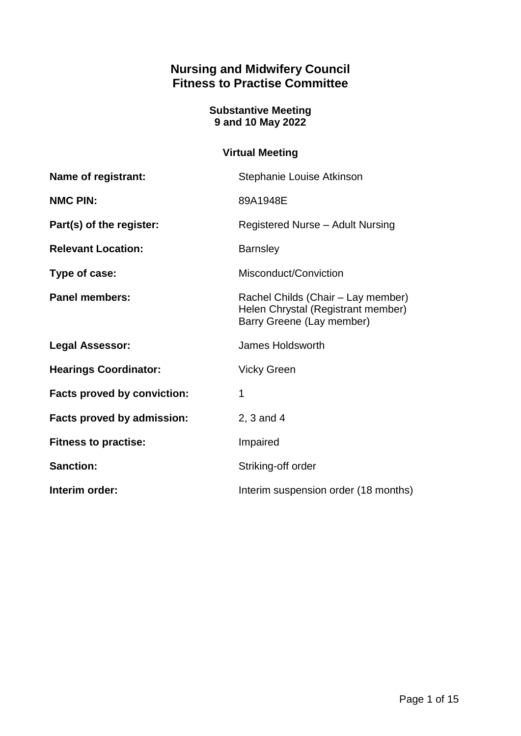# **Nursing and Midwifery Council Fitness to Practise Committee**

## **Substantive Meeting 9 and 10 May 2022**

# **Virtual Meeting**

| Name of registrant:                | Stephanie Louise Atkinson                                                                             |
|------------------------------------|-------------------------------------------------------------------------------------------------------|
| <b>NMC PIN:</b>                    | 89A1948E                                                                                              |
| Part(s) of the register:           | Registered Nurse - Adult Nursing                                                                      |
| <b>Relevant Location:</b>          | <b>Barnsley</b>                                                                                       |
| Type of case:                      | Misconduct/Conviction                                                                                 |
| <b>Panel members:</b>              | Rachel Childs (Chair – Lay member)<br>Helen Chrystal (Registrant member)<br>Barry Greene (Lay member) |
| <b>Legal Assessor:</b>             | <b>James Holdsworth</b>                                                                               |
| <b>Hearings Coordinator:</b>       | <b>Vicky Green</b>                                                                                    |
| <b>Facts proved by conviction:</b> | 1                                                                                                     |
| Facts proved by admission:         | 2, 3 and 4                                                                                            |
| <b>Fitness to practise:</b>        | Impaired                                                                                              |
| <b>Sanction:</b>                   | Striking-off order                                                                                    |
| Interim order:                     | Interim suspension order (18 months)                                                                  |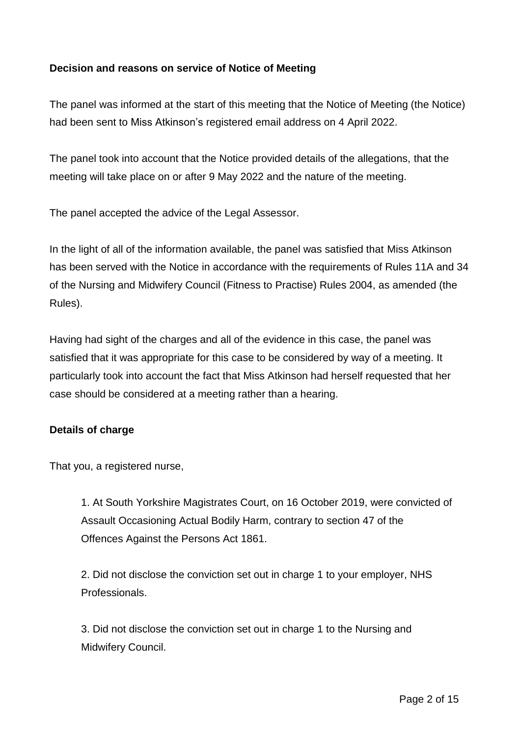## **Decision and reasons on service of Notice of Meeting**

The panel was informed at the start of this meeting that the Notice of Meeting (the Notice) had been sent to Miss Atkinson's registered email address on 4 April 2022.

The panel took into account that the Notice provided details of the allegations, that the meeting will take place on or after 9 May 2022 and the nature of the meeting.

The panel accepted the advice of the Legal Assessor.

In the light of all of the information available, the panel was satisfied that Miss Atkinson has been served with the Notice in accordance with the requirements of Rules 11A and 34 of the Nursing and Midwifery Council (Fitness to Practise) Rules 2004, as amended (the Rules).

Having had sight of the charges and all of the evidence in this case, the panel was satisfied that it was appropriate for this case to be considered by way of a meeting. It particularly took into account the fact that Miss Atkinson had herself requested that her case should be considered at a meeting rather than a hearing.

### **Details of charge**

That you, a registered nurse,

1. At South Yorkshire Magistrates Court, on 16 October 2019, were convicted of Assault Occasioning Actual Bodily Harm, contrary to section 47 of the Offences Against the Persons Act 1861.

2. Did not disclose the conviction set out in charge 1 to your employer, NHS Professionals.

3. Did not disclose the conviction set out in charge 1 to the Nursing and Midwifery Council.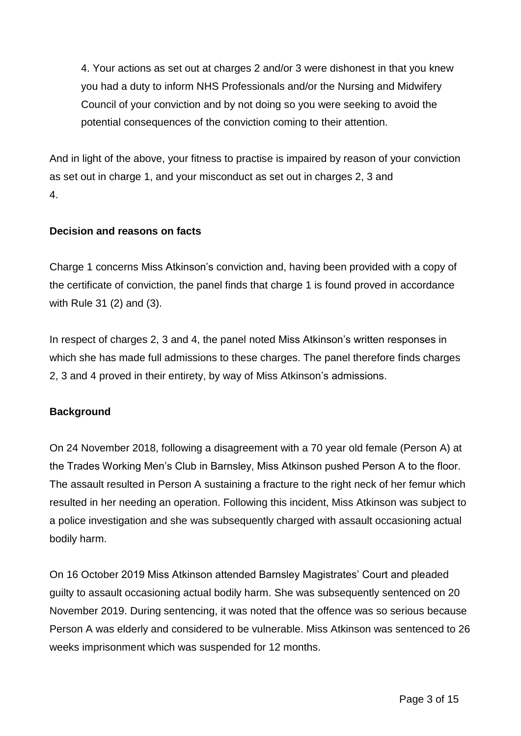4. Your actions as set out at charges 2 and/or 3 were dishonest in that you knew you had a duty to inform NHS Professionals and/or the Nursing and Midwifery Council of your conviction and by not doing so you were seeking to avoid the potential consequences of the conviction coming to their attention.

And in light of the above, your fitness to practise is impaired by reason of your conviction as set out in charge 1, and your misconduct as set out in charges 2, 3 and 4.

## **Decision and reasons on facts**

Charge 1 concerns Miss Atkinson's conviction and, having been provided with a copy of the certificate of conviction, the panel finds that charge 1 is found proved in accordance with Rule 31 (2) and (3).

In respect of charges 2, 3 and 4, the panel noted Miss Atkinson's written responses in which she has made full admissions to these charges. The panel therefore finds charges 2, 3 and 4 proved in their entirety, by way of Miss Atkinson's admissions.

### **Background**

On 24 November 2018, following a disagreement with a 70 year old female (Person A) at the Trades Working Men's Club in Barnsley, Miss Atkinson pushed Person A to the floor. The assault resulted in Person A sustaining a fracture to the right neck of her femur which resulted in her needing an operation. Following this incident, Miss Atkinson was subject to a police investigation and she was subsequently charged with assault occasioning actual bodily harm.

On 16 October 2019 Miss Atkinson attended Barnsley Magistrates' Court and pleaded guilty to assault occasioning actual bodily harm. She was subsequently sentenced on 20 November 2019. During sentencing, it was noted that the offence was so serious because Person A was elderly and considered to be vulnerable. Miss Atkinson was sentenced to 26 weeks imprisonment which was suspended for 12 months.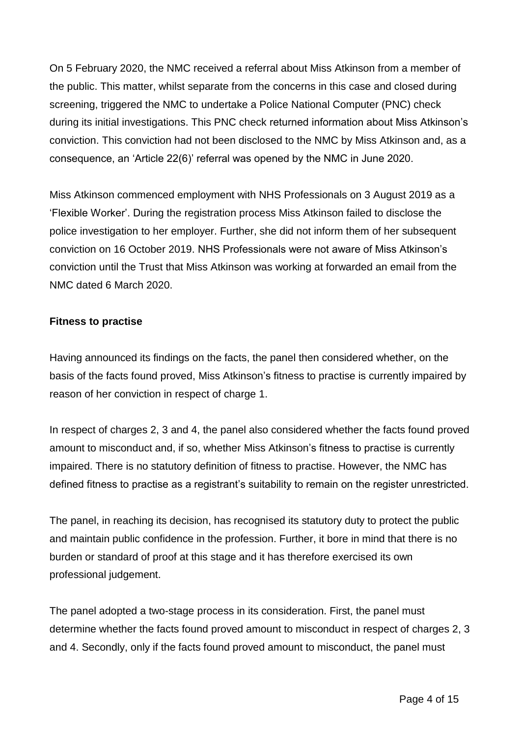On 5 February 2020, the NMC received a referral about Miss Atkinson from a member of the public. This matter, whilst separate from the concerns in this case and closed during screening, triggered the NMC to undertake a Police National Computer (PNC) check during its initial investigations. This PNC check returned information about Miss Atkinson's conviction. This conviction had not been disclosed to the NMC by Miss Atkinson and, as a consequence, an 'Article 22(6)' referral was opened by the NMC in June 2020.

Miss Atkinson commenced employment with NHS Professionals on 3 August 2019 as a 'Flexible Worker'. During the registration process Miss Atkinson failed to disclose the police investigation to her employer. Further, she did not inform them of her subsequent conviction on 16 October 2019. NHS Professionals were not aware of Miss Atkinson's conviction until the Trust that Miss Atkinson was working at forwarded an email from the NMC dated 6 March 2020.

### **Fitness to practise**

Having announced its findings on the facts, the panel then considered whether, on the basis of the facts found proved, Miss Atkinson's fitness to practise is currently impaired by reason of her conviction in respect of charge 1.

In respect of charges 2, 3 and 4, the panel also considered whether the facts found proved amount to misconduct and, if so, whether Miss Atkinson's fitness to practise is currently impaired. There is no statutory definition of fitness to practise. However, the NMC has defined fitness to practise as a registrant's suitability to remain on the register unrestricted.

The panel, in reaching its decision, has recognised its statutory duty to protect the public and maintain public confidence in the profession. Further, it bore in mind that there is no burden or standard of proof at this stage and it has therefore exercised its own professional judgement.

The panel adopted a two-stage process in its consideration. First, the panel must determine whether the facts found proved amount to misconduct in respect of charges 2, 3 and 4. Secondly, only if the facts found proved amount to misconduct, the panel must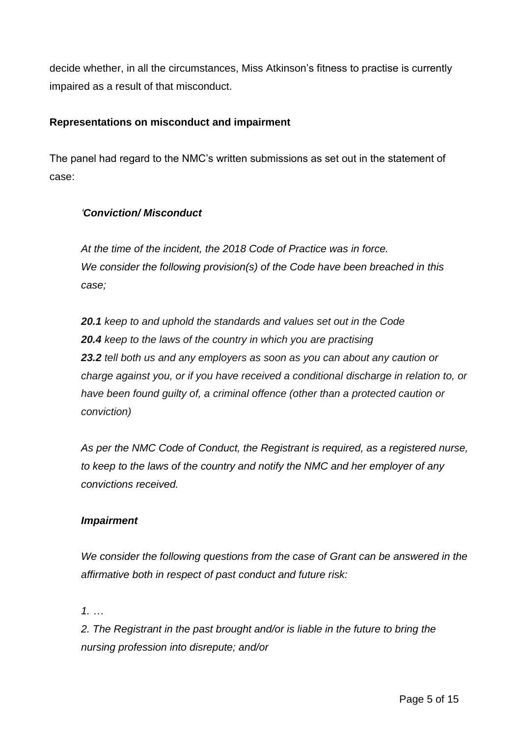decide whether, in all the circumstances, Miss Atkinson's fitness to practise is currently impaired as a result of that misconduct.

## **Representations on misconduct and impairment**

The panel had regard to the NMC's written submissions as set out in the statement of case:

## *'Conviction/ Misconduct*

*At the time of the incident, the 2018 Code of Practice was in force. We consider the following provision(s) of the Code have been breached in this case;*

*20.1 keep to and uphold the standards and values set out in the Code 20.4 keep to the laws of the country in which you are practising 23.2 tell both us and any employers as soon as you can about any caution or charge against you, or if you have received a conditional discharge in relation to, or have been found guilty of, a criminal offence (other than a protected caution or conviction)*

*As per the NMC Code of Conduct, the Registrant is required, as a registered nurse, to keep to the laws of the country and notify the NMC and her employer of any convictions received.*

## *Impairment*

*We consider the following questions from the case of Grant can be answered in the affirmative both in respect of past conduct and future risk:*

*1. …*

*2. The Registrant in the past brought and/or is liable in the future to bring the nursing profession into disrepute; and/or*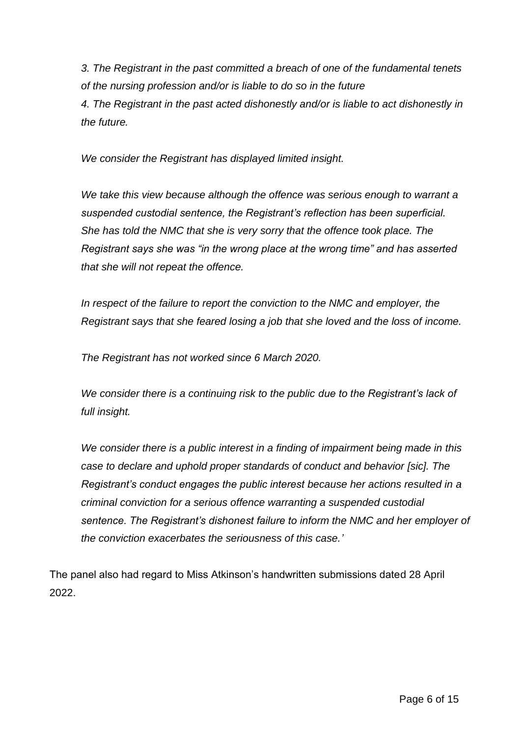*3. The Registrant in the past committed a breach of one of the fundamental tenets of the nursing profession and/or is liable to do so in the future 4. The Registrant in the past acted dishonestly and/or is liable to act dishonestly in the future.*

*We consider the Registrant has displayed limited insight.*

*We take this view because although the offence was serious enough to warrant a suspended custodial sentence, the Registrant's reflection has been superficial. She has told the NMC that she is very sorry that the offence took place. The Registrant says she was "in the wrong place at the wrong time" and has asserted that she will not repeat the offence.*

*In respect of the failure to report the conviction to the NMC and employer, the Registrant says that she feared losing a job that she loved and the loss of income.*

*The Registrant has not worked since 6 March 2020.*

*We consider there is a continuing risk to the public due to the Registrant's lack of full insight.*

*We consider there is a public interest in a finding of impairment being made in this case to declare and uphold proper standards of conduct and behavior [sic]. The Registrant's conduct engages the public interest because her actions resulted in a criminal conviction for a serious offence warranting a suspended custodial sentence. The Registrant's dishonest failure to inform the NMC and her employer of the conviction exacerbates the seriousness of this case.'*

The panel also had regard to Miss Atkinson's handwritten submissions dated 28 April 2022.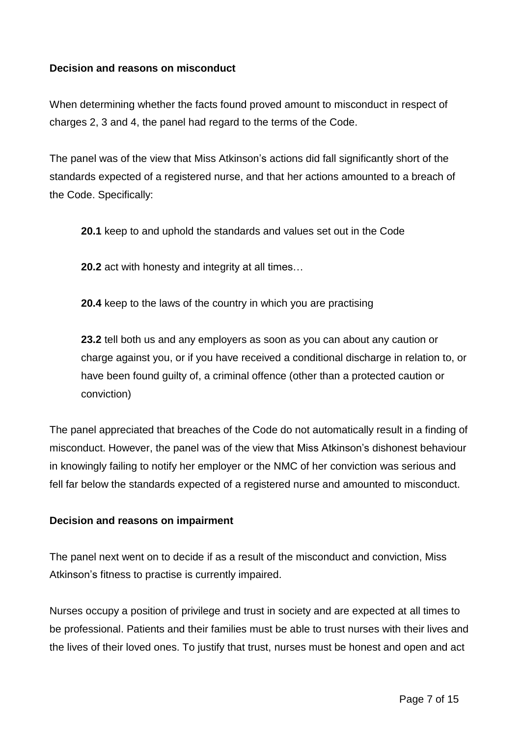### **Decision and reasons on misconduct**

When determining whether the facts found proved amount to misconduct in respect of charges 2, 3 and 4, the panel had regard to the terms of the Code.

The panel was of the view that Miss Atkinson's actions did fall significantly short of the standards expected of a registered nurse, and that her actions amounted to a breach of the Code. Specifically:

**20.1** keep to and uphold the standards and values set out in the Code

**20.2** act with honesty and integrity at all times…

**20.4** keep to the laws of the country in which you are practising

**23.2** tell both us and any employers as soon as you can about any caution or charge against you, or if you have received a conditional discharge in relation to, or have been found guilty of, a criminal offence (other than a protected caution or conviction)

The panel appreciated that breaches of the Code do not automatically result in a finding of misconduct. However, the panel was of the view that Miss Atkinson's dishonest behaviour in knowingly failing to notify her employer or the NMC of her conviction was serious and fell far below the standards expected of a registered nurse and amounted to misconduct.

### **Decision and reasons on impairment**

The panel next went on to decide if as a result of the misconduct and conviction, Miss Atkinson's fitness to practise is currently impaired.

Nurses occupy a position of privilege and trust in society and are expected at all times to be professional. Patients and their families must be able to trust nurses with their lives and the lives of their loved ones. To justify that trust, nurses must be honest and open and act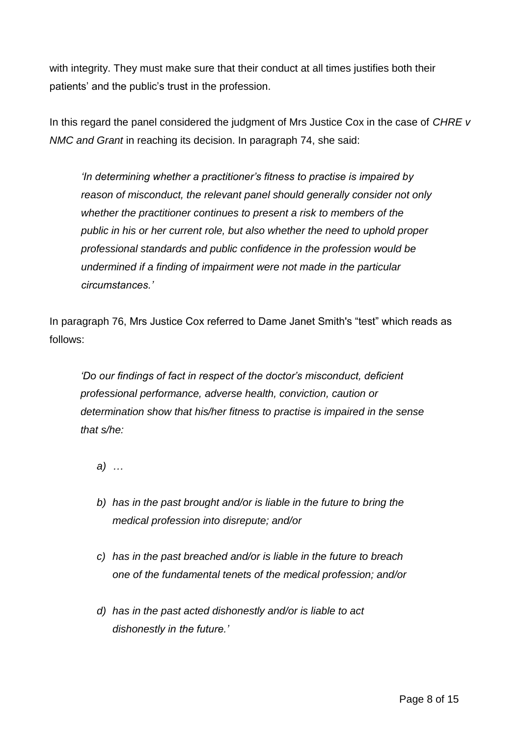with integrity. They must make sure that their conduct at all times justifies both their patients' and the public's trust in the profession.

In this regard the panel considered the judgment of Mrs Justice Cox in the case of *CHRE v NMC and Grant* in reaching its decision. In paragraph 74, she said:

*'In determining whether a practitioner's fitness to practise is impaired by reason of misconduct, the relevant panel should generally consider not only whether the practitioner continues to present a risk to members of the public in his or her current role, but also whether the need to uphold proper professional standards and public confidence in the profession would be undermined if a finding of impairment were not made in the particular circumstances.'*

In paragraph 76, Mrs Justice Cox referred to Dame Janet Smith's "test" which reads as follows:

*'Do our findings of fact in respect of the doctor's misconduct, deficient professional performance, adverse health, conviction, caution or determination show that his/her fitness to practise is impaired in the sense that s/he:*

*a) …*

- *b) has in the past brought and/or is liable in the future to bring the medical profession into disrepute; and/or*
- *c) has in the past breached and/or is liable in the future to breach one of the fundamental tenets of the medical profession; and/or*
- *d) has in the past acted dishonestly and/or is liable to act dishonestly in the future.'*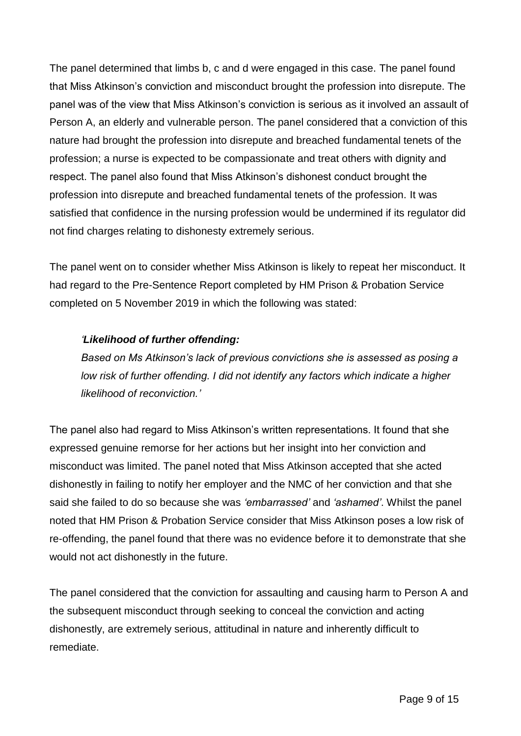The panel determined that limbs b, c and d were engaged in this case. The panel found that Miss Atkinson's conviction and misconduct brought the profession into disrepute. The panel was of the view that Miss Atkinson's conviction is serious as it involved an assault of Person A, an elderly and vulnerable person. The panel considered that a conviction of this nature had brought the profession into disrepute and breached fundamental tenets of the profession; a nurse is expected to be compassionate and treat others with dignity and respect. The panel also found that Miss Atkinson's dishonest conduct brought the profession into disrepute and breached fundamental tenets of the profession. It was satisfied that confidence in the nursing profession would be undermined if its regulator did not find charges relating to dishonesty extremely serious.

The panel went on to consider whether Miss Atkinson is likely to repeat her misconduct. It had regard to the Pre-Sentence Report completed by HM Prison & Probation Service completed on 5 November 2019 in which the following was stated:

## *'Likelihood of further offending:*

*Based on Ms Atkinson's lack of previous convictions she is assessed as posing a low risk of further offending. I did not identify any factors which indicate a higher likelihood of reconviction.'*

The panel also had regard to Miss Atkinson's written representations. It found that she expressed genuine remorse for her actions but her insight into her conviction and misconduct was limited. The panel noted that Miss Atkinson accepted that she acted dishonestly in failing to notify her employer and the NMC of her conviction and that she said she failed to do so because she was *'embarrassed'* and *'ashamed'*. Whilst the panel noted that HM Prison & Probation Service consider that Miss Atkinson poses a low risk of re-offending, the panel found that there was no evidence before it to demonstrate that she would not act dishonestly in the future.

The panel considered that the conviction for assaulting and causing harm to Person A and the subsequent misconduct through seeking to conceal the conviction and acting dishonestly, are extremely serious, attitudinal in nature and inherently difficult to remediate.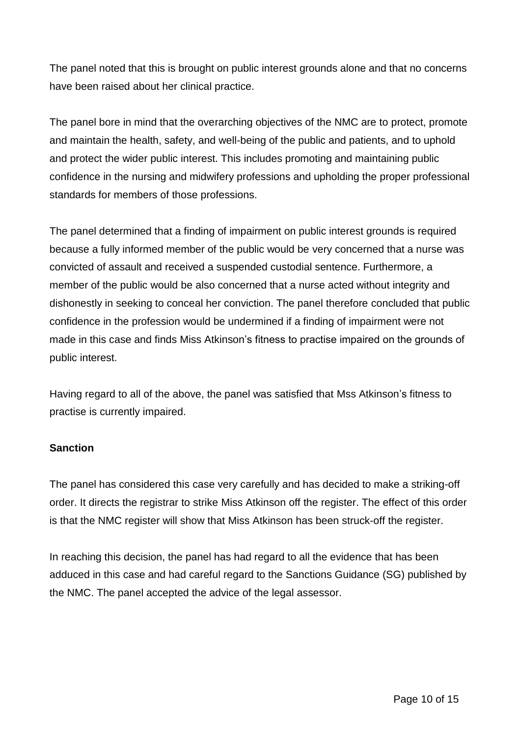The panel noted that this is brought on public interest grounds alone and that no concerns have been raised about her clinical practice.

The panel bore in mind that the overarching objectives of the NMC are to protect, promote and maintain the health, safety, and well-being of the public and patients, and to uphold and protect the wider public interest. This includes promoting and maintaining public confidence in the nursing and midwifery professions and upholding the proper professional standards for members of those professions.

The panel determined that a finding of impairment on public interest grounds is required because a fully informed member of the public would be very concerned that a nurse was convicted of assault and received a suspended custodial sentence. Furthermore, a member of the public would be also concerned that a nurse acted without integrity and dishonestly in seeking to conceal her conviction. The panel therefore concluded that public confidence in the profession would be undermined if a finding of impairment were not made in this case and finds Miss Atkinson's fitness to practise impaired on the grounds of public interest.

Having regard to all of the above, the panel was satisfied that Mss Atkinson's fitness to practise is currently impaired.

### **Sanction**

The panel has considered this case very carefully and has decided to make a striking-off order. It directs the registrar to strike Miss Atkinson off the register. The effect of this order is that the NMC register will show that Miss Atkinson has been struck-off the register.

In reaching this decision, the panel has had regard to all the evidence that has been adduced in this case and had careful regard to the Sanctions Guidance (SG) published by the NMC. The panel accepted the advice of the legal assessor.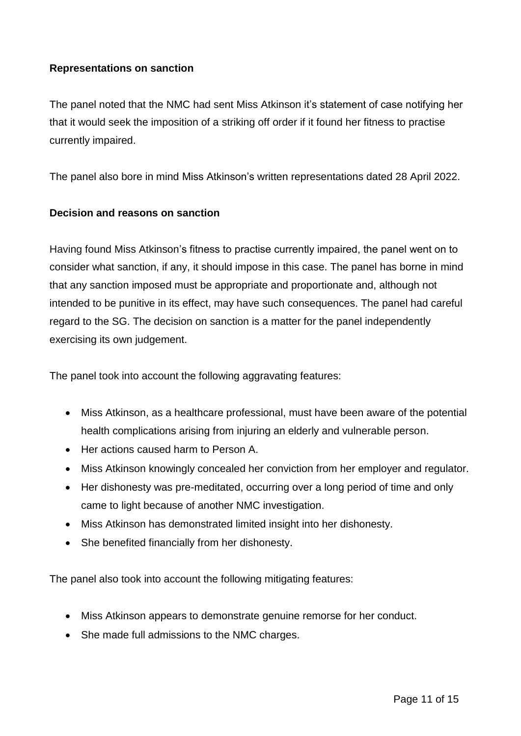## **Representations on sanction**

The panel noted that the NMC had sent Miss Atkinson it's statement of case notifying her that it would seek the imposition of a striking off order if it found her fitness to practise currently impaired.

The panel also bore in mind Miss Atkinson's written representations dated 28 April 2022.

### **Decision and reasons on sanction**

Having found Miss Atkinson's fitness to practise currently impaired, the panel went on to consider what sanction, if any, it should impose in this case. The panel has borne in mind that any sanction imposed must be appropriate and proportionate and, although not intended to be punitive in its effect, may have such consequences. The panel had careful regard to the SG. The decision on sanction is a matter for the panel independently exercising its own judgement.

The panel took into account the following aggravating features:

- Miss Atkinson, as a healthcare professional, must have been aware of the potential health complications arising from injuring an elderly and vulnerable person.
- Her actions caused harm to Person A.
- Miss Atkinson knowingly concealed her conviction from her employer and regulator.
- Her dishonesty was pre-meditated, occurring over a long period of time and only came to light because of another NMC investigation.
- Miss Atkinson has demonstrated limited insight into her dishonesty.
- She benefited financially from her dishonesty.

The panel also took into account the following mitigating features:

- Miss Atkinson appears to demonstrate genuine remorse for her conduct.
- She made full admissions to the NMC charges.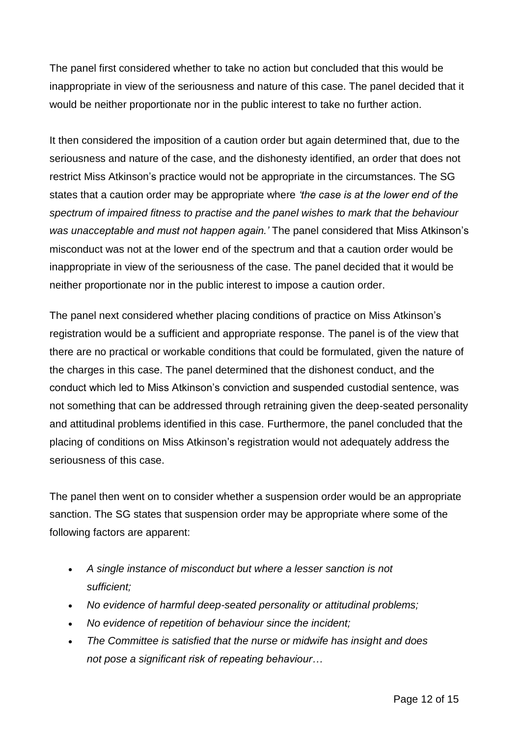The panel first considered whether to take no action but concluded that this would be inappropriate in view of the seriousness and nature of this case. The panel decided that it would be neither proportionate nor in the public interest to take no further action.

It then considered the imposition of a caution order but again determined that, due to the seriousness and nature of the case, and the dishonesty identified, an order that does not restrict Miss Atkinson's practice would not be appropriate in the circumstances. The SG states that a caution order may be appropriate where *'the case is at the lower end of the spectrum of impaired fitness to practise and the panel wishes to mark that the behaviour was unacceptable and must not happen again.'* The panel considered that Miss Atkinson's misconduct was not at the lower end of the spectrum and that a caution order would be inappropriate in view of the seriousness of the case. The panel decided that it would be neither proportionate nor in the public interest to impose a caution order.

The panel next considered whether placing conditions of practice on Miss Atkinson's registration would be a sufficient and appropriate response. The panel is of the view that there are no practical or workable conditions that could be formulated, given the nature of the charges in this case. The panel determined that the dishonest conduct, and the conduct which led to Miss Atkinson's conviction and suspended custodial sentence, was not something that can be addressed through retraining given the deep-seated personality and attitudinal problems identified in this case. Furthermore, the panel concluded that the placing of conditions on Miss Atkinson's registration would not adequately address the seriousness of this case.

The panel then went on to consider whether a suspension order would be an appropriate sanction. The SG states that suspension order may be appropriate where some of the following factors are apparent:

- *A single instance of misconduct but where a lesser sanction is not sufficient;*
- *No evidence of harmful deep-seated personality or attitudinal problems;*
- *No evidence of repetition of behaviour since the incident;*
- *The Committee is satisfied that the nurse or midwife has insight and does not pose a significant risk of repeating behaviour…*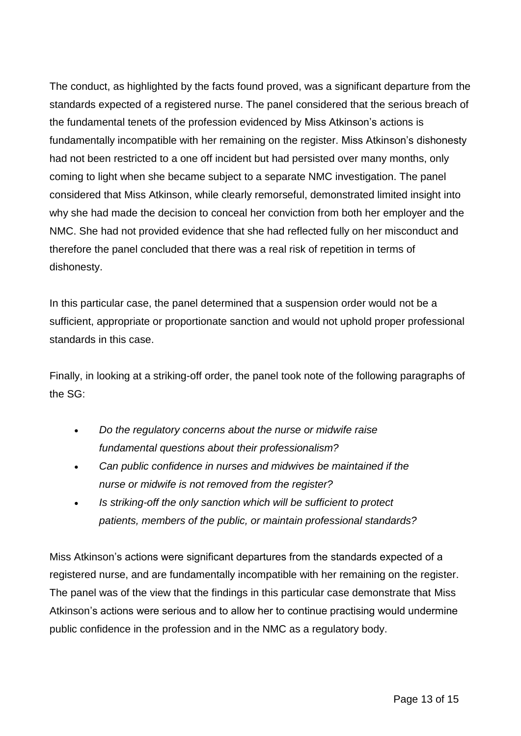The conduct, as highlighted by the facts found proved, was a significant departure from the standards expected of a registered nurse. The panel considered that the serious breach of the fundamental tenets of the profession evidenced by Miss Atkinson's actions is fundamentally incompatible with her remaining on the register. Miss Atkinson's dishonesty had not been restricted to a one off incident but had persisted over many months, only coming to light when she became subject to a separate NMC investigation. The panel considered that Miss Atkinson, while clearly remorseful, demonstrated limited insight into why she had made the decision to conceal her conviction from both her employer and the NMC. She had not provided evidence that she had reflected fully on her misconduct and therefore the panel concluded that there was a real risk of repetition in terms of dishonesty.

In this particular case, the panel determined that a suspension order would not be a sufficient, appropriate or proportionate sanction and would not uphold proper professional standards in this case.

Finally, in looking at a striking-off order, the panel took note of the following paragraphs of the SG:

- *Do the regulatory concerns about the nurse or midwife raise fundamental questions about their professionalism?*
- *Can public confidence in nurses and midwives be maintained if the nurse or midwife is not removed from the register?*
- *Is striking-off the only sanction which will be sufficient to protect patients, members of the public, or maintain professional standards?*

Miss Atkinson's actions were significant departures from the standards expected of a registered nurse, and are fundamentally incompatible with her remaining on the register. The panel was of the view that the findings in this particular case demonstrate that Miss Atkinson's actions were serious and to allow her to continue practising would undermine public confidence in the profession and in the NMC as a regulatory body.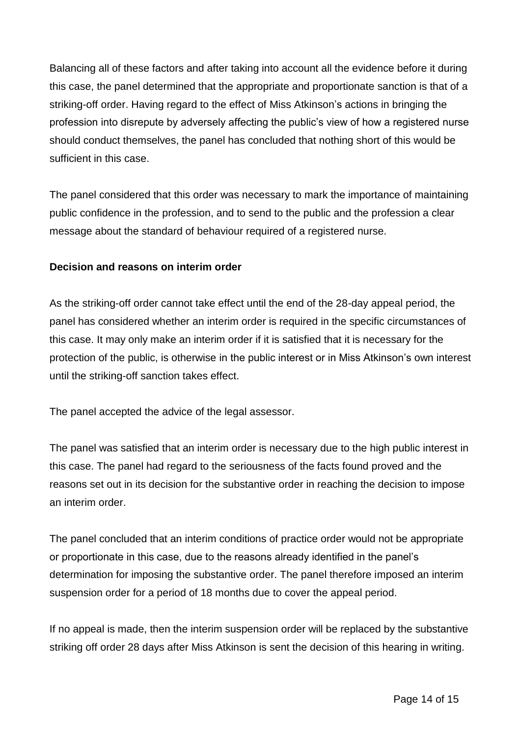Balancing all of these factors and after taking into account all the evidence before it during this case, the panel determined that the appropriate and proportionate sanction is that of a striking-off order. Having regard to the effect of Miss Atkinson's actions in bringing the profession into disrepute by adversely affecting the public's view of how a registered nurse should conduct themselves, the panel has concluded that nothing short of this would be sufficient in this case.

The panel considered that this order was necessary to mark the importance of maintaining public confidence in the profession, and to send to the public and the profession a clear message about the standard of behaviour required of a registered nurse.

### **Decision and reasons on interim order**

As the striking-off order cannot take effect until the end of the 28-day appeal period, the panel has considered whether an interim order is required in the specific circumstances of this case. It may only make an interim order if it is satisfied that it is necessary for the protection of the public, is otherwise in the public interest or in Miss Atkinson's own interest until the striking-off sanction takes effect.

The panel accepted the advice of the legal assessor.

The panel was satisfied that an interim order is necessary due to the high public interest in this case. The panel had regard to the seriousness of the facts found proved and the reasons set out in its decision for the substantive order in reaching the decision to impose an interim order.

The panel concluded that an interim conditions of practice order would not be appropriate or proportionate in this case, due to the reasons already identified in the panel's determination for imposing the substantive order. The panel therefore imposed an interim suspension order for a period of 18 months due to cover the appeal period.

If no appeal is made, then the interim suspension order will be replaced by the substantive striking off order 28 days after Miss Atkinson is sent the decision of this hearing in writing.